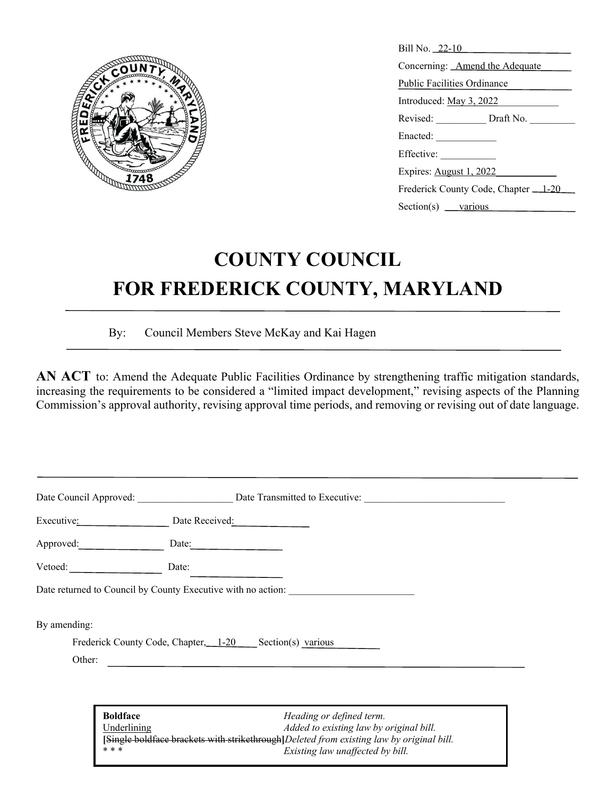

| Bill No. 22-10                                     |  |  |
|----------------------------------------------------|--|--|
| Concerning: Amend the Adequate                     |  |  |
| Public Facilities Ordinance                        |  |  |
| Introduced: May 3, 2022                            |  |  |
| Revised: ______________ Draft No. __________       |  |  |
|                                                    |  |  |
| Effective:                                         |  |  |
| Expires: August 1, 2022                            |  |  |
| Frederick County Code, Chapter 1-20                |  |  |
| Section(s) $\frac{\text{various}}{\text{various}}$ |  |  |

# **COUNTY COUNCIL FOR FREDERICK COUNTY, MARYLAND**

By: Council Members Steve McKay and Kai Hagen

AN ACT to: Amend the Adequate Public Facilities Ordinance by strengthening traffic mitigation standards, increasing the requirements to be considered a "limited impact development," revising aspects of the Planning Commission's approval authority, revising approval time periods, and removing or revising out of date language.

| Executive:   | Date Received:                                               |  |
|--------------|--------------------------------------------------------------|--|
| Approved:    | Date:                                                        |  |
| Vetoed:      | Date:                                                        |  |
|              | Date returned to Council by County Executive with no action: |  |
| By amending: |                                                              |  |
|              | Frederick County Code, Chapter, 1-20 Section(s) various      |  |

**Boldface** *Heading or defined term.* Underlining *Added to existing law by original bill.*  $\frac{1}{\text{with}}$  strikethrough<sup>[Deleted from existing law by original bill.</sup>  $Existing$  law unaffected by bill.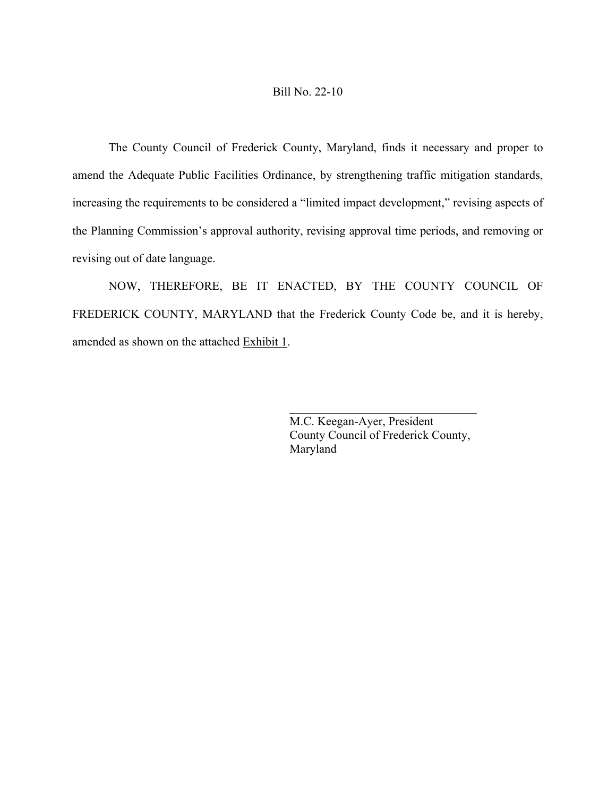#### Bill No. 22-10

The County Council of Frederick County, Maryland, finds it necessary and proper to amend the Adequate Public Facilities Ordinance, by strengthening traffic mitigation standards, increasing the requirements to be considered a "limited impact development," revising aspects of the Planning Commission's approval authority, revising approval time periods, and removing or revising out of date language.

NOW, THEREFORE, BE IT ENACTED, BY THE COUNTY COUNCIL OF FREDERICK COUNTY, MARYLAND that the Frederick County Code be, and it is hereby, amended as shown on the attached **Exhibit 1**.

> M.C. Keegan-Ayer, President County Council of Frederick County, Maryland

 $\mathcal{L}_\mathcal{L}$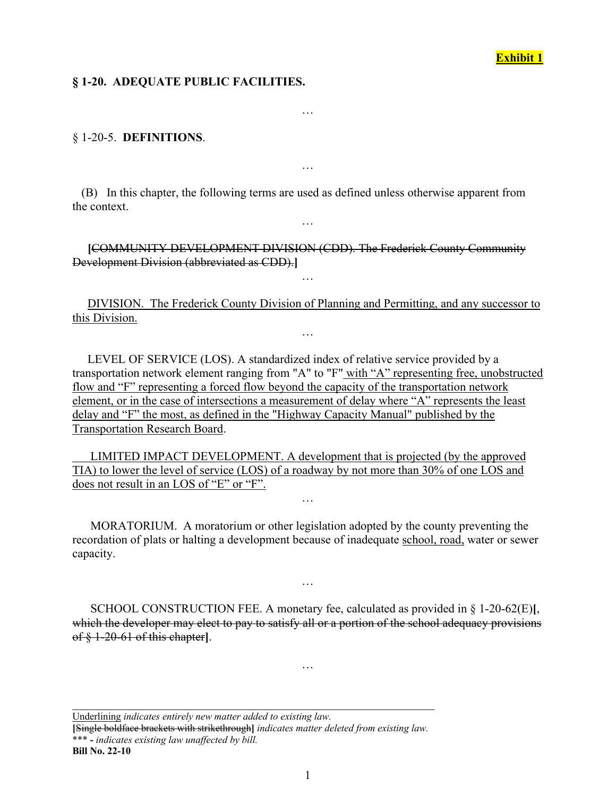## **Exhibit 1**

#### **§ 1-20. ADEQUATE PUBLIC FACILITIES.**

§ 1-20-5. **DEFINITIONS**.

 (B) In this chapter, the following terms are used as defined unless otherwise apparent from the context.

…

…

…

 **[**COMMUNITY DEVELOPMENT DIVISION (CDD). The Frederick County Community Development Division (abbreviated as CDD).**]**

 DIVISION. The Frederick County Division of Planning and Permitting, and any successor to this Division.

…

…

 LEVEL OF SERVICE (LOS). A standardized index of relative service provided by a transportation network element ranging from "A" to "F" with "A" representing free, unobstructed flow and "F" representing a forced flow beyond the capacity of the transportation network element, or in the case of intersections a measurement of delay where "A" represents the least delay and "F" the most, as defined in the "Highway Capacity Manual" published by the Transportation Research Board.

 LIMITED IMPACT DEVELOPMENT. A development that is projected (by the approved TIA) to lower the level of service (LOS) of a roadway by not more than 30% of one LOS and does not result in an LOS of "E" or "F".

 MORATORIUM. A moratorium or other legislation adopted by the county preventing the recordation of plats or halting a development because of inadequate school, road, water or sewer capacity.

…

 SCHOOL CONSTRUCTION FEE. A monetary fee, calculated as provided in § 1-20-62(E)**[**, which the developer may elect to pay to satisfy all or a portion of the school adequacy provisions of § 1-20-61 of this chapter**]**.

…

…

Underlining *indicates entirely new matter added to existing law.*

**[**Single boldface brackets with strikethrough**]** *indicates matter deleted from existing law.* \*\*\* **-** *indicates existing law unaffected by bill.* **Bill No. 22-10**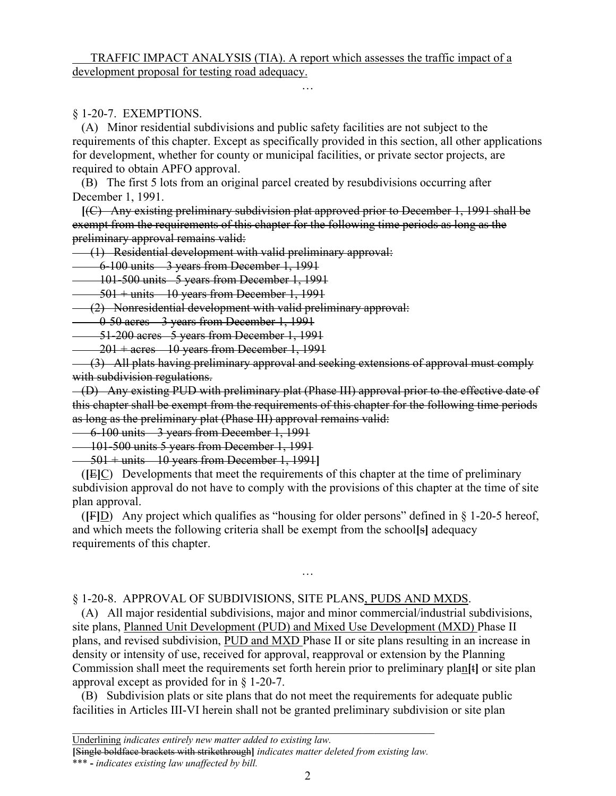## TRAFFIC IMPACT ANALYSIS (TIA). A report which assesses the traffic impact of a development proposal for testing road adequacy.

## § 1-20-7. EXEMPTIONS.

 (A) Minor residential subdivisions and public safety facilities are not subject to the requirements of this chapter. Except as specifically provided in this section, all other applications for development, whether for county or municipal facilities, or private sector projects, are required to obtain APFO approval.

…

 (B) The first 5 lots from an original parcel created by resubdivisions occurring after December 1, 1991.

 **[**(C) Any existing preliminary subdivision plat approved prior to December 1, 1991 shall be exempt from the requirements of this chapter for the following time periods as long as the preliminary approval remains valid:

(1) Residential development with valid preliminary approval:

6-100 units 3 years from December 1, 1991

101-500 units 5 years from December 1, 1991

 $-501 + \text{units} - 10$  years from December 1, 1991

(2) Nonresidential development with valid preliminary approval:

0-50 acres 3 years from December 1, 1991

51-200 acres 5 years from December 1, 1991

 $-201 + \text{acres} - 10$  years from December 1, 1991

 (3) All plats having preliminary approval and seeking extensions of approval must comply with subdivision regulations.

 (D) Any existing PUD with preliminary plat (Phase III) approval prior to the effective date of this chapter shall be exempt from the requirements of this chapter for the following time periods as long as the preliminary plat (Phase III) approval remains valid:

6-100 units 3 years from December 1, 1991

101-500 units 5 years from December 1, 1991

501 + units 10 years from December 1, 1991**]**

 (**[**E**]**C) Developments that meet the requirements of this chapter at the time of preliminary subdivision approval do not have to comply with the provisions of this chapter at the time of site plan approval.

(**[F]**D) Any project which qualifies as "housing for older persons" defined in  $\S$  1-20-5 hereof, and which meets the following criteria shall be exempt from the school**[**s**]** adequacy requirements of this chapter.

…

#### § 1-20-8. APPROVAL OF SUBDIVISIONS, SITE PLANS, PUDS AND MXDS.

 (A) All major residential subdivisions, major and minor commercial/industrial subdivisions, site plans, Planned Unit Development (PUD) and Mixed Use Development (MXD) Phase II plans, and revised subdivision, PUD and MXD Phase II or site plans resulting in an increase in density or intensity of use, received for approval, reapproval or extension by the Planning Commission shall meet the requirements set forth herein prior to preliminary plan**[**t**]** or site plan approval except as provided for in § 1-20-7.

 (B) Subdivision plats or site plans that do not meet the requirements for adequate public facilities in Articles III-VI herein shall not be granted preliminary subdivision or site plan

**[**Single boldface brackets with strikethrough**]** *indicates matter deleted from existing law.*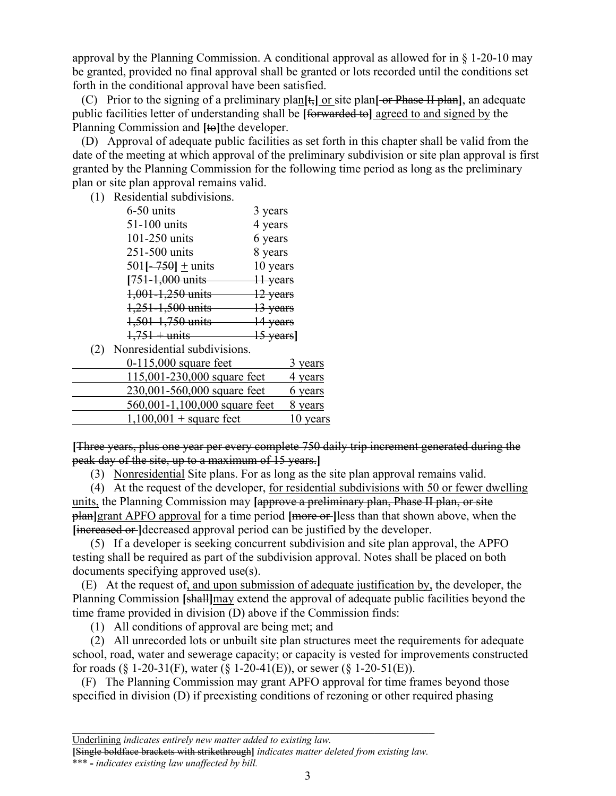approval by the Planning Commission. A conditional approval as allowed for in § 1-20-10 may be granted, provided no final approval shall be granted or lots recorded until the conditions set forth in the conditional approval have been satisfied.

 (C) Prior to the signing of a preliminary plan**[**t,**]** or site plan**[** or Phase II plan**]**, an adequate public facilities letter of understanding shall be **[**forwarded to**]** agreed to and signed by the Planning Commission and **[**to**]**the developer.

 (D) Approval of adequate public facilities as set forth in this chapter shall be valid from the date of the meeting at which approval of the preliminary subdivision or site plan approval is first granted by the Planning Commission for the following time period as long as the preliminary plan or site plan approval remains valid.

(1) Residential subdivisions.

| 3 years               |
|-----------------------|
| 4 years               |
| 6 years               |
| 8 years               |
| 10 years              |
| 11 years              |
| 12 years              |
| 13 years              |
| 14 years              |
| <del>15 years</del> ] |
|                       |

(2) Nonresidential subdivisions.

| $0-115,000$ square feet       | 3 years  |
|-------------------------------|----------|
| 115,001-230,000 square feet   | 4 years  |
| 230,001-560,000 square feet   | 6 years  |
| 560,001-1,100,000 square feet | 8 years  |
| $1,100,001 +$ square feet     | 10 years |

**[**Three years, plus one year per every complete 750 daily trip increment generated during the peak day of the site, up to a maximum of 15 years.**]**

(3) Nonresidential Site plans. For as long as the site plan approval remains valid.

 (4) At the request of the developer, for residential subdivisions with 50 or fewer dwelling units, the Planning Commission may **[**approve a preliminary plan, Phase II plan, or site plan**]**grant APFO approval for a time period **[**more or **]**less than that shown above, when the **[**increased or **]**decreased approval period can be justified by the developer.

 (5) If a developer is seeking concurrent subdivision and site plan approval, the APFO testing shall be required as part of the subdivision approval. Notes shall be placed on both documents specifying approved use(s).

 (E) At the request of, and upon submission of adequate justification by, the developer, the Planning Commission **[**shall**]**may extend the approval of adequate public facilities beyond the time frame provided in division (D) above if the Commission finds:

(1) All conditions of approval are being met; and

 (2) All unrecorded lots or unbuilt site plan structures meet the requirements for adequate school, road, water and sewerage capacity; or capacity is vested for improvements constructed for roads (§ 1-20-31(F), water (§ 1-20-41(E)), or sewer (§ 1-20-51(E)).

 (F) The Planning Commission may grant APFO approval for time frames beyond those specified in division (D) if preexisting conditions of rezoning or other required phasing

**[**Single boldface brackets with strikethrough**]** *indicates matter deleted from existing law.*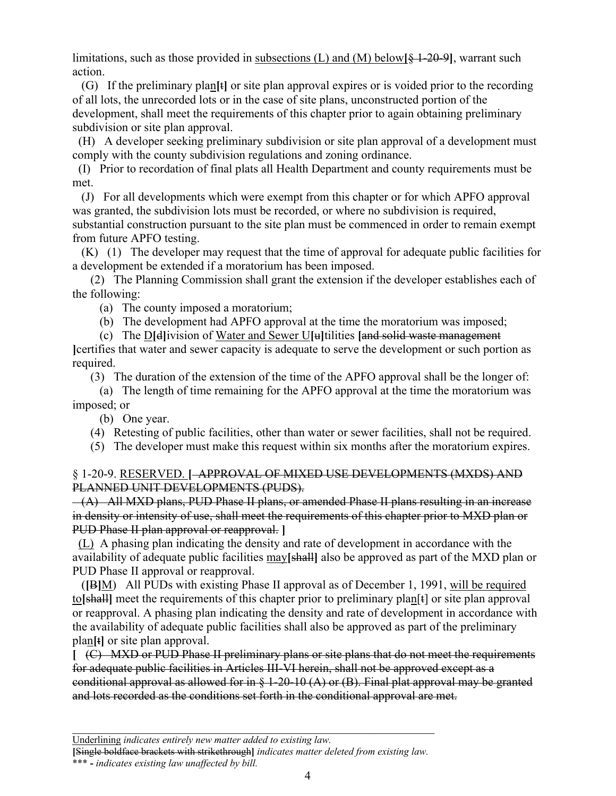limitations, such as those provided in subsections (L) and (M) below**[**§ 1-20-9**]**, warrant such action.

 (G) If the preliminary plan**[**t**]** or site plan approval expires or is voided prior to the recording of all lots, the unrecorded lots or in the case of site plans, unconstructed portion of the development, shall meet the requirements of this chapter prior to again obtaining preliminary subdivision or site plan approval.

(H) A developer seeking preliminary subdivision or site plan approval of a development must comply with the county subdivision regulations and zoning ordinance.

 (I) Prior to recordation of final plats all Health Department and county requirements must be met.

 (J) For all developments which were exempt from this chapter or for which APFO approval was granted, the subdivision lots must be recorded, or where no subdivision is required, substantial construction pursuant to the site plan must be commenced in order to remain exempt from future APFO testing.

 (K) (1) The developer may request that the time of approval for adequate public facilities for a development be extended if a moratorium has been imposed.

 (2) The Planning Commission shall grant the extension if the developer establishes each of the following:

(a) The county imposed a moratorium;

(b) The development had APFO approval at the time the moratorium was imposed;

(c) The D**[**d**]**ivision of Water and Sewer U**[**u**]**tilities **[**and solid waste management

**]**certifies that water and sewer capacity is adequate to serve the development or such portion as required.

(3) The duration of the extension of the time of the APFO approval shall be the longer of:

 (a) The length of time remaining for the APFO approval at the time the moratorium was imposed; or

(b) One year.

(4) Retesting of public facilities, other than water or sewer facilities, shall not be required.

(5) The developer must make this request within six months after the moratorium expires.

## § 1-20-9. RESERVED. **[** APPROVAL OF MIXED USE DEVELOPMENTS (MXDS) AND PLANNED UNIT DEVELOPMENTS (PUDS).

 (A) All MXD plans, PUD Phase II plans, or amended Phase II plans resulting in an increase in density or intensity of use, shall meet the requirements of this chapter prior to MXD plan or PUD Phase II plan approval or reapproval. **]**

 (L) A phasing plan indicating the density and rate of development in accordance with the availability of adequate public facilities may**[**shall**]** also be approved as part of the MXD plan or PUD Phase II approval or reapproval.

 (**[**B**]**M) All PUDs with existing Phase II approval as of December 1, 1991, will be required to**[**shall**]** meet the requirements of this chapter prior to preliminary plan[t] or site plan approval or reapproval. A phasing plan indicating the density and rate of development in accordance with the availability of adequate public facilities shall also be approved as part of the preliminary plan**[**t**]** or site plan approval.

**[** (C) MXD or PUD Phase II preliminary plans or site plans that do not meet the requirements for adequate public facilities in Articles III-VI herein, shall not be approved except as a conditional approval as allowed for in  $\S 1-20-10$  (A) or (B). Final plat approval may be granted and lots recorded as the conditions set forth in the conditional approval are met.

**[**Single boldface brackets with strikethrough**]** *indicates matter deleted from existing law.*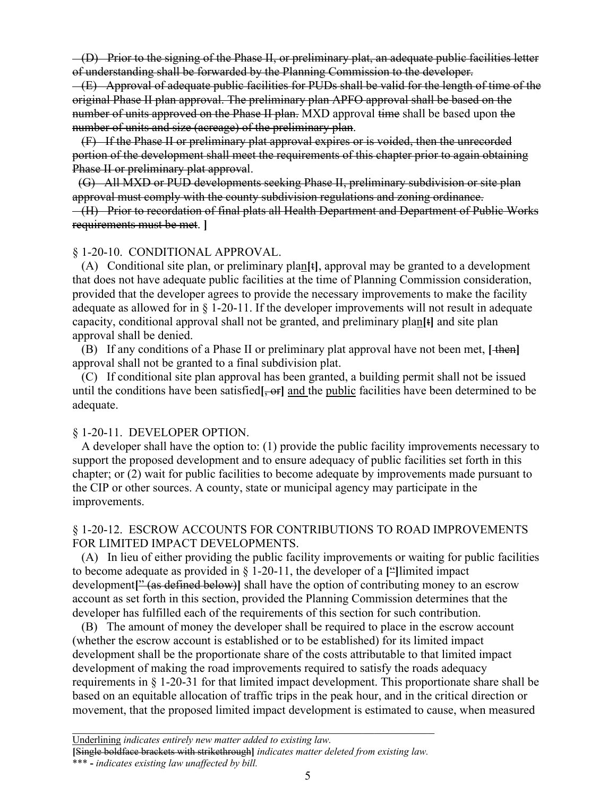$(-$ (D) Prior to the signing of the Phase II, or preliminary plat, an adequate public facilities letter of understanding shall be forwarded by the Planning Commission to the developer.

 (E) Approval of adequate public facilities for PUDs shall be valid for the length of time of the original Phase II plan approval. The preliminary plan APFO approval shall be based on the number of units approved on the Phase II plan. MXD approval time shall be based upon the number of units and size (acreage) of the preliminary plan.

 (F) If the Phase II or preliminary plat approval expires or is voided, then the unrecorded portion of the development shall meet the requirements of this chapter prior to again obtaining Phase II or preliminary plat approval.

 (G) All MXD or PUD developments seeking Phase II, preliminary subdivision or site plan approval must comply with the county subdivision regulations and zoning ordinance. (H) Prior to recordation of final plats all Health Department and Department of Public Works requirements must be met. **]**

#### § 1-20-10. CONDITIONAL APPROVAL.

 (A) Conditional site plan, or preliminary plan**[**t**]**, approval may be granted to a development that does not have adequate public facilities at the time of Planning Commission consideration, provided that the developer agrees to provide the necessary improvements to make the facility adequate as allowed for in  $\S$  1-20-11. If the developer improvements will not result in adequate capacity, conditional approval shall not be granted, and preliminary plan**[**t**]** and site plan approval shall be denied.

 (B) If any conditions of a Phase II or preliminary plat approval have not been met, **[** then**]** approval shall not be granted to a final subdivision plat.

 (C) If conditional site plan approval has been granted, a building permit shall not be issued until the conditions have been satisfied [, or ] and the public facilities have been determined to be adequate.

#### § 1-20-11. DEVELOPER OPTION.

 A developer shall have the option to: (1) provide the public facility improvements necessary to support the proposed development and to ensure adequacy of public facilities set forth in this chapter; or (2) wait for public facilities to become adequate by improvements made pursuant to the CIP or other sources. A county, state or municipal agency may participate in the improvements.

#### § 1-20-12. ESCROW ACCOUNTS FOR CONTRIBUTIONS TO ROAD IMPROVEMENTS FOR LIMITED IMPACT DEVELOPMENTS.

 (A) In lieu of either providing the public facility improvements or waiting for public facilities to become adequate as provided in § 1-20-11, the developer of a **[**"**]**limited impact development**[**" (as defined below)**]** shall have the option of contributing money to an escrow account as set forth in this section, provided the Planning Commission determines that the developer has fulfilled each of the requirements of this section for such contribution.

 (B) The amount of money the developer shall be required to place in the escrow account (whether the escrow account is established or to be established) for its limited impact development shall be the proportionate share of the costs attributable to that limited impact development of making the road improvements required to satisfy the roads adequacy requirements in § 1-20-31 for that limited impact development. This proportionate share shall be based on an equitable allocation of traffic trips in the peak hour, and in the critical direction or movement, that the proposed limited impact development is estimated to cause, when measured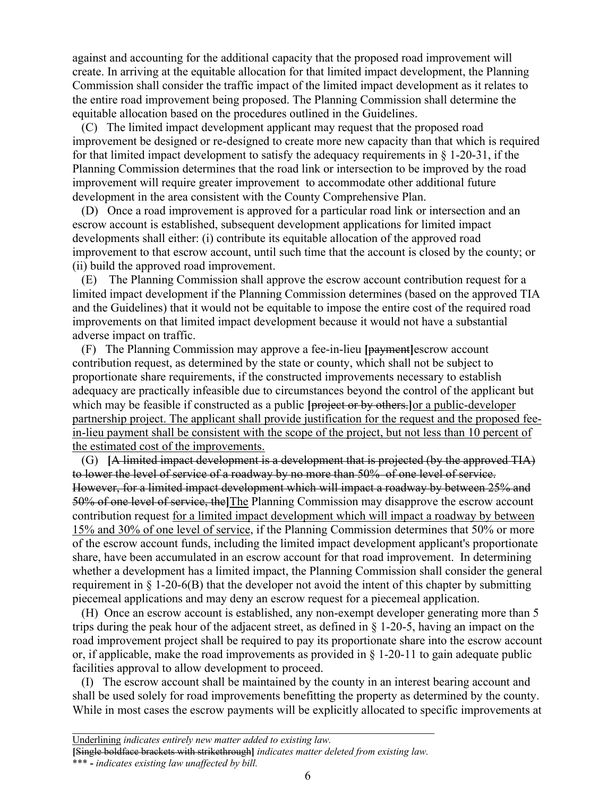against and accounting for the additional capacity that the proposed road improvement will create. In arriving at the equitable allocation for that limited impact development, the Planning Commission shall consider the traffic impact of the limited impact development as it relates to the entire road improvement being proposed. The Planning Commission shall determine the equitable allocation based on the procedures outlined in the Guidelines.

 (C) The limited impact development applicant may request that the proposed road improvement be designed or re-designed to create more new capacity than that which is required for that limited impact development to satisfy the adequacy requirements in  $\S$  1-20-31, if the Planning Commission determines that the road link or intersection to be improved by the road improvement will require greater improvement to accommodate other additional future development in the area consistent with the County Comprehensive Plan.

 (D) Once a road improvement is approved for a particular road link or intersection and an escrow account is established, subsequent development applications for limited impact developments shall either: (i) contribute its equitable allocation of the approved road improvement to that escrow account, until such time that the account is closed by the county; or (ii) build the approved road improvement.

 (E) The Planning Commission shall approve the escrow account contribution request for a limited impact development if the Planning Commission determines (based on the approved TIA and the Guidelines) that it would not be equitable to impose the entire cost of the required road improvements on that limited impact development because it would not have a substantial adverse impact on traffic.

 (F) The Planning Commission may approve a fee-in-lieu **[**payment**]**escrow account contribution request, as determined by the state or county, which shall not be subject to proportionate share requirements, if the constructed improvements necessary to establish adequacy are practically infeasible due to circumstances beyond the control of the applicant but which may be feasible if constructed as a public **[**project or by others.**]**or a public-developer partnership project. The applicant shall provide justification for the request and the proposed feein-lieu payment shall be consistent with the scope of the project, but not less than 10 percent of the estimated cost of the improvements.

 (G) **[**A limited impact development is a development that is projected (by the approved TIA) to lower the level of service of a roadway by no more than 50% of one level of service. However, for a limited impact development which will impact a roadway by between 25% and 50% of one level of service, the**]**The Planning Commission may disapprove the escrow account contribution request for a limited impact development which will impact a roadway by between 15% and 30% of one level of service, if the Planning Commission determines that 50% or more of the escrow account funds, including the limited impact development applicant's proportionate share, have been accumulated in an escrow account for that road improvement. In determining whether a development has a limited impact, the Planning Commission shall consider the general requirement in § 1-20-6(B) that the developer not avoid the intent of this chapter by submitting piecemeal applications and may deny an escrow request for a piecemeal application.

 (H) Once an escrow account is established, any non-exempt developer generating more than 5 trips during the peak hour of the adjacent street, as defined in § 1-20-5, having an impact on the road improvement project shall be required to pay its proportionate share into the escrow account or, if applicable, make the road improvements as provided in  $\S$  1-20-11 to gain adequate public facilities approval to allow development to proceed.

 (I) The escrow account shall be maintained by the county in an interest bearing account and shall be used solely for road improvements benefitting the property as determined by the county. While in most cases the escrow payments will be explicitly allocated to specific improvements at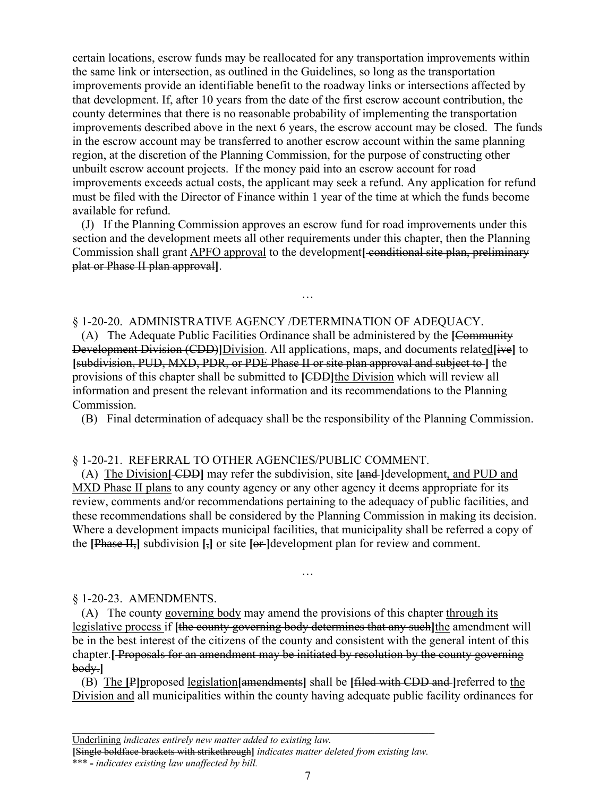certain locations, escrow funds may be reallocated for any transportation improvements within the same link or intersection, as outlined in the Guidelines, so long as the transportation improvements provide an identifiable benefit to the roadway links or intersections affected by that development. If, after 10 years from the date of the first escrow account contribution, the county determines that there is no reasonable probability of implementing the transportation improvements described above in the next 6 years, the escrow account may be closed. The funds in the escrow account may be transferred to another escrow account within the same planning region, at the discretion of the Planning Commission, for the purpose of constructing other unbuilt escrow account projects. If the money paid into an escrow account for road improvements exceeds actual costs, the applicant may seek a refund. Any application for refund must be filed with the Director of Finance within 1 year of the time at which the funds become available for refund.

 (J) If the Planning Commission approves an escrow fund for road improvements under this section and the development meets all other requirements under this chapter, then the Planning Commission shall grant APFO approval to the development**[** conditional site plan, preliminary plat or Phase II plan approval**]**.

…

### § 1-20-20. ADMINISTRATIVE AGENCY /DETERMINATION OF ADEQUACY.

 (A) The Adequate Public Facilities Ordinance shall be administered by the **[**Community Development Division (CDD)**]**Division. All applications, maps, and documents related**[**ive**]** to **[**subdivision, PUD, MXD, PDR, or PDE Phase II or site plan approval and subject to **]** the provisions of this chapter shall be submitted to **[**CDD**]**the Division which will review all information and present the relevant information and its recommendations to the Planning Commission.

(B) Final determination of adequacy shall be the responsibility of the Planning Commission.

### § 1-20-21. REFERRAL TO OTHER AGENCIES/PUBLIC COMMENT.

 (A) The Division**[** CDD**]** may refer the subdivision, site **[**and **]**development, and PUD and MXD Phase II plans to any county agency or any other agency it deems appropriate for its review, comments and/or recommendations pertaining to the adequacy of public facilities, and these recommendations shall be considered by the Planning Commission in making its decision. Where a development impacts municipal facilities, that municipality shall be referred a copy of the **[**Phase II,**]** subdivision **[**,**]** or site **[**or **]**development plan for review and comment.

…

#### § 1-20-23. AMENDMENTS.

 (A) The county governing body may amend the provisions of this chapter through its legislative process if **[**the county governing body determines that any such**]**the amendment will be in the best interest of the citizens of the county and consistent with the general intent of this chapter.**[** Proposals for an amendment may be initiated by resolution by the county governing body.**]**

 (B) The **[**P**]**proposed legislation**[**amendments**]** shall be **[**filed with CDD and **]**referred to the Division and all municipalities within the county having adequate public facility ordinances for

\_\_\_\_\_\_\_\_\_\_\_\_\_\_\_\_\_\_\_\_\_\_\_\_\_\_\_\_\_\_\_\_\_\_\_\_\_\_\_\_\_\_\_\_\_\_\_\_\_\_\_\_\_\_\_\_\_\_\_\_

Underlining *indicates entirely new matter added to existing law.*

**<sup>[</sup>**Single boldface brackets with strikethrough**]** *indicates matter deleted from existing law.*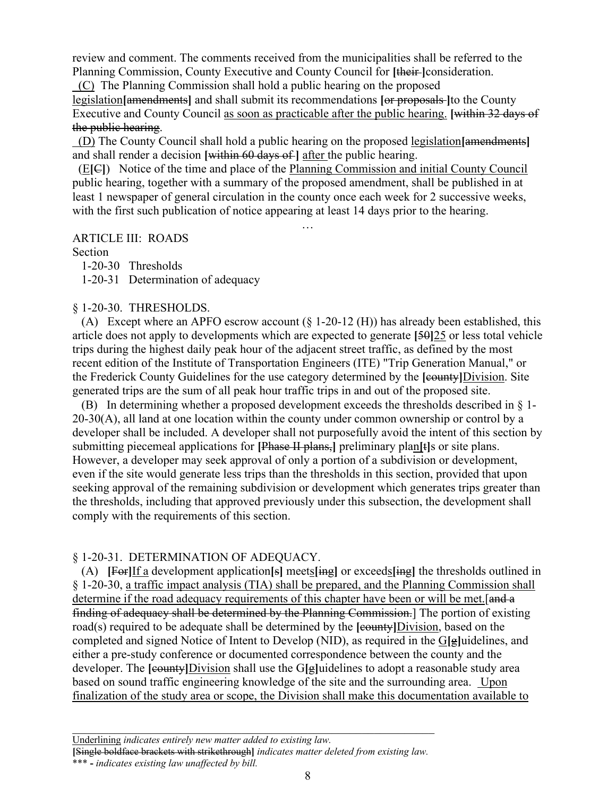review and comment. The comments received from the municipalities shall be referred to the Planning Commission, County Executive and County Council for **[**their **]**consideration.

(C) The Planning Commission shall hold a public hearing on the proposed

legislation**[**amendments**]** and shall submit its recommendations **[**or proposals **]**to the County Executive and County Council as soon as practicable after the public hearing. **[**within 32 days of the public hearing.

 (D) The County Council shall hold a public hearing on the proposed legislation**[**amendments**]** and shall render a decision **[**within 60 days of **]** after the public hearing.

 (E**[**C**]**) Notice of the time and place of the Planning Commission and initial County Council public hearing, together with a summary of the proposed amendment, shall be published in at least 1 newspaper of general circulation in the county once each week for 2 successive weeks, with the first such publication of notice appearing at least 14 days prior to the hearing.

…

ARTICLE III: ROADS

Section

1-20-30 Thresholds

1-20-31 Determination of adequacy

#### § 1-20-30. THRESHOLDS.

 (A) Except where an APFO escrow account (§ 1-20-12 (H)) has already been established, this article does not apply to developments which are expected to generate **[**50**]**25 or less total vehicle trips during the highest daily peak hour of the adjacent street traffic, as defined by the most recent edition of the Institute of Transportation Engineers (ITE) "Trip Generation Manual," or the Frederick County Guidelines for the use category determined by the **[**county**]**Division. Site generated trips are the sum of all peak hour traffic trips in and out of the proposed site.

 (B) In determining whether a proposed development exceeds the thresholds described in § 1-  $20-30(A)$ , all land at one location within the county under common ownership or control by a developer shall be included. A developer shall not purposefully avoid the intent of this section by submitting piecemeal applications for **[**Phase II plans,**]** preliminary plan**[**t**]**s or site plans. However, a developer may seek approval of only a portion of a subdivision or development, even if the site would generate less trips than the thresholds in this section, provided that upon seeking approval of the remaining subdivision or development which generates trips greater than the thresholds, including that approved previously under this subsection, the development shall comply with the requirements of this section.

## § 1-20-31. DETERMINATION OF ADEQUACY.

 (A) **[**For**]**If a development application**[**s**]** meets**[**ing**]** or exceeds**[**ing**]** the thresholds outlined in § 1-20-30, a traffic impact analysis (TIA) shall be prepared, and the Planning Commission shall determine if the road adequacy requirements of this chapter have been or will be met. [and a finding of adequacy shall be determined by the Planning Commission.] The portion of existing road(s) required to be adequate shall be determined by the **[**county**]**Division, based on the completed and signed Notice of Intent to Develop (NID), as required in the G**[**g**]**uidelines, and either a pre-study conference or documented correspondence between the county and the developer. The **[**county**]**Division shall use the G**[**g**]**uidelines to adopt a reasonable study area based on sound traffic engineering knowledge of the site and the surrounding area. Upon finalization of the study area or scope, the Division shall make this documentation available to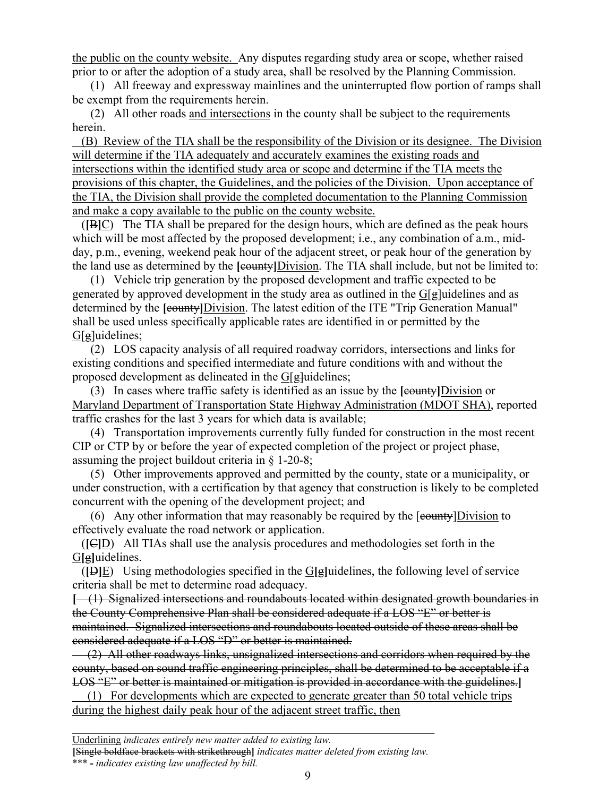the public on the county website. Any disputes regarding study area or scope, whether raised prior to or after the adoption of a study area, shall be resolved by the Planning Commission.

 (1) All freeway and expressway mainlines and the uninterrupted flow portion of ramps shall be exempt from the requirements herein.

 (2) All other roads and intersections in the county shall be subject to the requirements herein.

 (B) Review of the TIA shall be the responsibility of the Division or its designee. The Division will determine if the TIA adequately and accurately examines the existing roads and intersections within the identified study area or scope and determine if the TIA meets the provisions of this chapter, the Guidelines, and the policies of the Division. Upon acceptance of the TIA, the Division shall provide the completed documentation to the Planning Commission and make a copy available to the public on the county website.

 (**[**B**]**C) The TIA shall be prepared for the design hours, which are defined as the peak hours which will be most affected by the proposed development; i.e., any combination of a.m., midday, p.m., evening, weekend peak hour of the adjacent street, or peak hour of the generation by the land use as determined by the **[**county**]**Division. The TIA shall include, but not be limited to:

 (1) Vehicle trip generation by the proposed development and traffic expected to be generated by approved development in the study area as outlined in the  $G[\mathbf{g}]$ uidelines and as determined by the **[**county**]**Division. The latest edition of the ITE "Trip Generation Manual" shall be used unless specifically applicable rates are identified in or permitted by the G[g]uidelines;

 (2) LOS capacity analysis of all required roadway corridors, intersections and links for existing conditions and specified intermediate and future conditions with and without the proposed development as delineated in the  $G[\frac{1}{g}]$ uidelines;

 (3) In cases where traffic safety is identified as an issue by the **[**county**]**Division or Maryland Department of Transportation State Highway Administration (MDOT SHA), reported traffic crashes for the last 3 years for which data is available;

 (4) Transportation improvements currently fully funded for construction in the most recent CIP or CTP by or before the year of expected completion of the project or project phase, assuming the project buildout criteria in § 1-20-8;

 (5) Other improvements approved and permitted by the county, state or a municipality, or under construction, with a certification by that agency that construction is likely to be completed concurrent with the opening of the development project; and

(6) Any other information that may reasonably be required by the  $[*county*] Division to$ effectively evaluate the road network or application.

 (**[**C**]**D) All TIAs shall use the analysis procedures and methodologies set forth in the G**[**g**]**uidelines.

 (**[**D**]**E) Using methodologies specified in the G**[**g**]**uidelines, the following level of service criteria shall be met to determine road adequacy.

**[** (1) Signalized intersections and roundabouts located within designated growth boundaries in the County Comprehensive Plan shall be considered adequate if a LOS "E" or better is maintained. Signalized intersections and roundabouts located outside of these areas shall be considered adequate if a LOS "D" or better is maintained.

 $(2)$  All other roadways links, unsignalized intersections and corridors when required by the county, based on sound traffic engineering principles, shall be determined to be acceptable if a LOS "E" or better is maintained or mitigation is provided in accordance with the guidelines.**]**

 (1) For developments which are expected to generate greater than 50 total vehicle trips during the highest daily peak hour of the adjacent street traffic, then

\_\_\_\_\_\_\_\_\_\_\_\_\_\_\_\_\_\_\_\_\_\_\_\_\_\_\_\_\_\_\_\_\_\_\_\_\_\_\_\_\_\_\_\_\_\_\_\_\_\_\_\_\_\_\_\_\_\_\_\_ Underlining *indicates entirely new matter added to existing law.*

**[**Single boldface brackets with strikethrough**]** *indicates matter deleted from existing law.*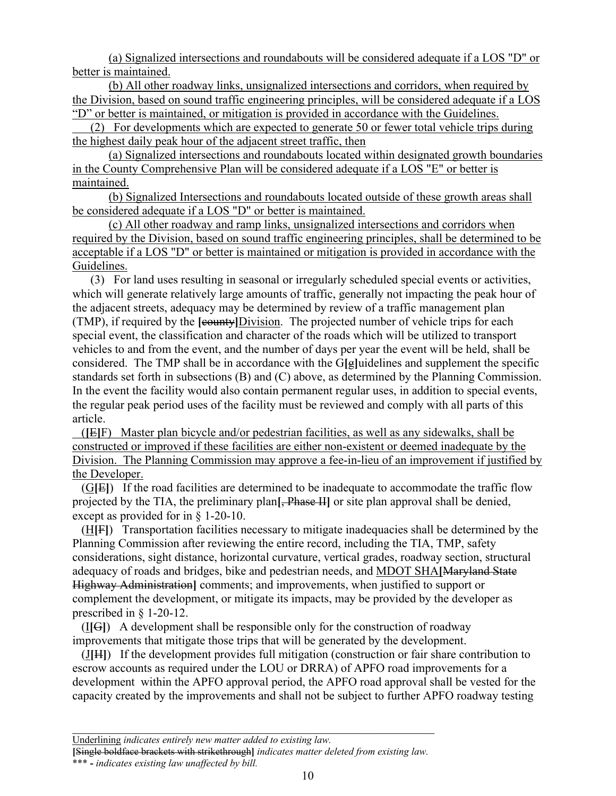(a) Signalized intersections and roundabouts will be considered adequate if a LOS "D" or better is maintained.

(b) All other roadway links, unsignalized intersections and corridors, when required by the Division, based on sound traffic engineering principles, will be considered adequate if a LOS "D" or better is maintained, or mitigation is provided in accordance with the Guidelines.

 (2) For developments which are expected to generate 50 or fewer total vehicle trips during the highest daily peak hour of the adjacent street traffic, then

(a) Signalized intersections and roundabouts located within designated growth boundaries in the County Comprehensive Plan will be considered adequate if a LOS "E" or better is maintained.

(b) Signalized Intersections and roundabouts located outside of these growth areas shall be considered adequate if a LOS "D" or better is maintained.

(c) All other roadway and ramp links, unsignalized intersections and corridors when required by the Division, based on sound traffic engineering principles, shall be determined to be acceptable if a LOS "D" or better is maintained or mitigation is provided in accordance with the Guidelines.

 (3) For land uses resulting in seasonal or irregularly scheduled special events or activities, which will generate relatively large amounts of traffic, generally not impacting the peak hour of the adjacent streets, adequacy may be determined by review of a traffic management plan (TMP), if required by the **[**county**]**Division. The projected number of vehicle trips for each special event, the classification and character of the roads which will be utilized to transport vehicles to and from the event, and the number of days per year the event will be held, shall be considered. The TMP shall be in accordance with the G**[**g**]**uidelines and supplement the specific standards set forth in subsections (B) and (C) above, as determined by the Planning Commission. In the event the facility would also contain permanent regular uses, in addition to special events, the regular peak period uses of the facility must be reviewed and comply with all parts of this article.

 (**[**E**]**F) Master plan bicycle and/or pedestrian facilities, as well as any sidewalks, shall be constructed or improved if these facilities are either non-existent or deemed inadequate by the Division. The Planning Commission may approve a fee-in-lieu of an improvement if justified by the Developer.

 (G**[**E**]**) If the road facilities are determined to be inadequate to accommodate the traffic flow projected by the TIA, the preliminary plan**[**, Phase II**]** or site plan approval shall be denied, except as provided for in § 1-20-10.

 (H**[**F**]**) Transportation facilities necessary to mitigate inadequacies shall be determined by the Planning Commission after reviewing the entire record, including the TIA, TMP, safety considerations, sight distance, horizontal curvature, vertical grades, roadway section, structural adequacy of roads and bridges, bike and pedestrian needs, and MDOT SHA**[**Maryland State Highway Administration**]** comments; and improvements, when justified to support or complement the development, or mitigate its impacts, may be provided by the developer as prescribed in § 1-20-12.

 (I**[**G**]**) A development shall be responsible only for the construction of roadway improvements that mitigate those trips that will be generated by the development.

 (J**[**H**]**) If the development provides full mitigation (construction or fair share contribution to escrow accounts as required under the LOU or DRRA) of APFO road improvements for a development within the APFO approval period, the APFO road approval shall be vested for the capacity created by the improvements and shall not be subject to further APFO roadway testing

\_\_\_\_\_\_\_\_\_\_\_\_\_\_\_\_\_\_\_\_\_\_\_\_\_\_\_\_\_\_\_\_\_\_\_\_\_\_\_\_\_\_\_\_\_\_\_\_\_\_\_\_\_\_\_\_\_\_\_\_ Underlining *indicates entirely new matter added to existing law.*

**<sup>[</sup>**Single boldface brackets with strikethrough**]** *indicates matter deleted from existing law.*